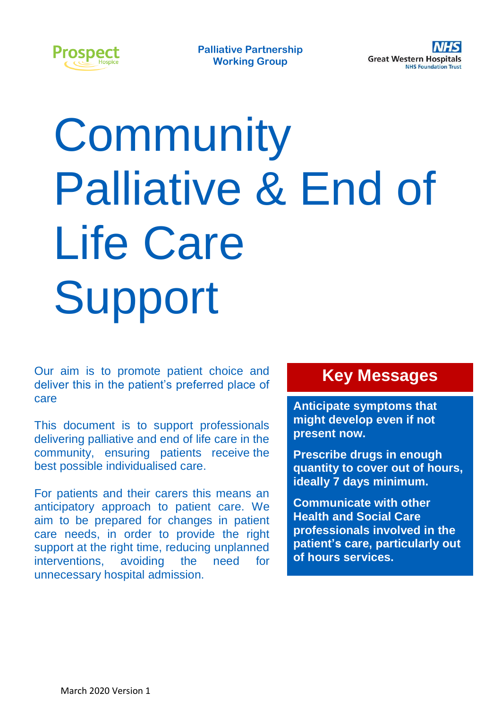

# **Community** Palliative & End of Life Care Support

Our aim is to promote patient choice and deliver this in the patient's preferred place of care

This document is to support professionals delivering palliative and end of life care in the community, ensuring patients receive the best possible individualised care.

For patients and their carers this means an anticipatory approach to patient care. We aim to be prepared for changes in patient care needs, in order to provide the right support at the right time, reducing unplanned interventions, avoiding the need for unnecessary hospital admission.

### **Key Messages**

**Anticipate symptoms that might develop even if not present now.**

**Prescribe drugs in enough quantity to cover out of hours, ideally 7 days minimum.**

**Communicate with other Health and Social Care professionals involved in the patient's care, particularly out of hours services.**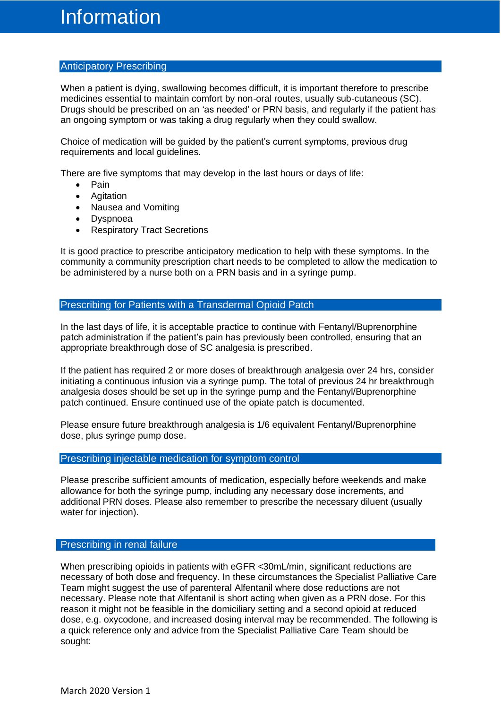#### Anticipatory Prescribing

When a patient is dying, swallowing becomes difficult, it is important therefore to prescribe medicines essential to maintain comfort by non-oral routes, usually sub-cutaneous (SC). Drugs should be prescribed on an 'as needed' or PRN basis, and regularly if the patient has an ongoing symptom or was taking a drug regularly when they could swallow.

Choice of medication will be guided by the patient's current symptoms, previous drug requirements and local guidelines.

There are five symptoms that may develop in the last hours or days of life:

- Pain
- Agitation
- Nausea and Vomiting
- Dyspnoea
- Respiratory Tract Secretions

It is good practice to prescribe anticipatory medication to help with these symptoms. In the community a community prescription chart needs to be completed to allow the medication to be administered by a nurse both on a PRN basis and in a syringe pump.

#### Prescribing for Patients with a Transdermal Opioid Patch

In the last days of life, it is acceptable practice to continue with Fentanyl/Buprenorphine patch administration if the patient's pain has previously been controlled, ensuring that an appropriate breakthrough dose of SC analgesia is prescribed.

If the patient has required 2 or more doses of breakthrough analgesia over 24 hrs, consider initiating a continuous infusion via a syringe pump. The total of previous 24 hr breakthrough analgesia doses should be set up in the syringe pump and the Fentanyl/Buprenorphine patch continued. Ensure continued use of the opiate patch is documented.

Please ensure future breakthrough analgesia is 1/6 equivalent Fentanyl/Buprenorphine dose, plus syringe pump dose.

#### Prescribing injectable medication for symptom control

Please prescribe sufficient amounts of medication, especially before weekends and make allowance for both the syringe pump, including any necessary dose increments, and additional PRN doses. Please also remember to prescribe the necessary diluent (usually water for injection).

#### Prescribing in renal failure

When prescribing opioids in patients with eGFR <30mL/min, significant reductions are necessary of both dose and frequency. In these circumstances the Specialist Palliative Care Team might suggest the use of parenteral Alfentanil where dose reductions are not necessary. Please note that Alfentanil is short acting when given as a PRN dose. For this reason it might not be feasible in the domiciliary setting and a second opioid at reduced dose, e.g. oxycodone, and increased dosing interval may be recommended. The following is a quick reference only and advice from the Specialist Palliative Care Team should be sought: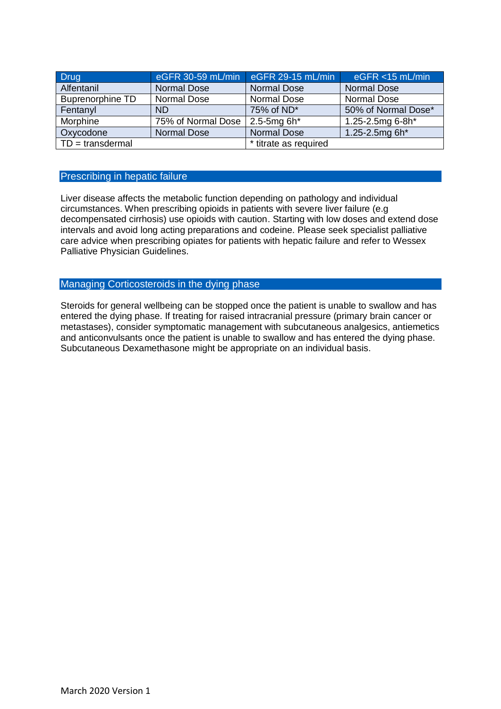| <b>Drug</b>             | eGFR 30-59 mL/min  | $e$ GFR 29-15 mL/min  | $eGFR < 15$ mL/min  |
|-------------------------|--------------------|-----------------------|---------------------|
| Alfentanil              | <b>Normal Dose</b> | <b>Normal Dose</b>    | <b>Normal Dose</b>  |
| <b>Buprenorphine TD</b> | <b>Normal Dose</b> | <b>Normal Dose</b>    | <b>Normal Dose</b>  |
| Fentanyl                | <b>ND</b>          | 75% of ND*            | 50% of Normal Dose* |
| Morphine                | 75% of Normal Dose | $2.5$ -5mg 6h $*$     | 1.25-2.5mg 6-8h*    |
| Oxycodone               | <b>Normal Dose</b> | <b>Normal Dose</b>    | 1.25-2.5mg 6h*      |
| $TD =$ transdermal      |                    | * titrate as required |                     |

#### Prescribing in hepatic failure

Liver disease affects the metabolic function depending on pathology and individual circumstances. When prescribing opioids in patients with severe liver failure (e.g decompensated cirrhosis) use opioids with caution. Starting with low doses and extend dose intervals and avoid long acting preparations and codeine. Please seek specialist palliative care advice when prescribing opiates for patients with hepatic failure and refer to Wessex Palliative Physician Guidelines.

#### Managing Corticosteroids in the dying phase

Steroids for general wellbeing can be stopped once the patient is unable to swallow and has entered the dying phase. If treating for raised intracranial pressure (primary brain cancer or metastases), consider symptomatic management with subcutaneous analgesics, antiemetics and anticonvulsants once the patient is unable to swallow and has entered the dying phase. Subcutaneous Dexamethasone might be appropriate on an individual basis.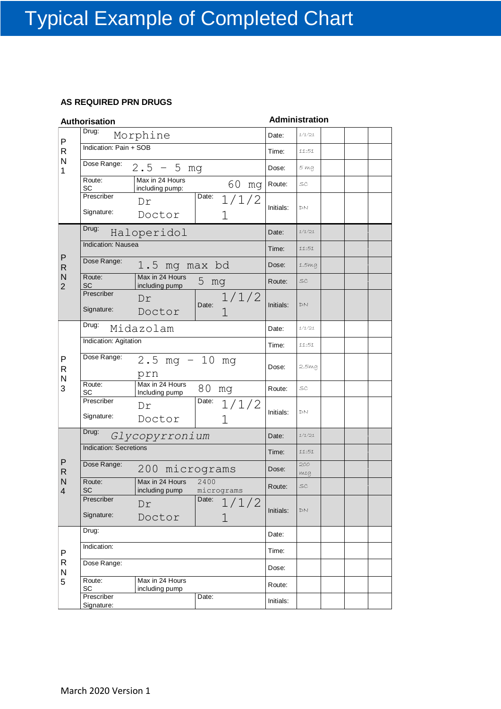#### **AS REQUIRED PRN DRUGS**

|                     | Authorisation                 |                                              |                     |                    | <b>Administration</b> |  |  |
|---------------------|-------------------------------|----------------------------------------------|---------------------|--------------------|-----------------------|--|--|
| P                   | Drug:                         | Morphine                                     |                     | Date:              | 1/1/21                |  |  |
| R                   | Indication: Pain + SOB        |                                              | Time:               | 11:51              |                       |  |  |
| N<br>1              | Dose Range:                   | $2.5 - 5$ mg                                 | Dose:               | $5 \, \mathrm{ma}$ |                       |  |  |
|                     | Route:<br>SC                  | Max in 24 Hours<br>including pump:           | 60<br>mg            | Route:             | SC                    |  |  |
|                     | Prescriber<br>Signature:      | Dr<br>Doctor                                 | Date:<br>1/1/2<br>1 | Initials:          | DN                    |  |  |
|                     | Drug:                         | Haloperidol                                  |                     | Date:              | 1/1/21                |  |  |
|                     | Indication: Nausea            |                                              |                     | Time:              | 11:51                 |  |  |
| P<br>$\mathsf R$    | Dose Range:                   | 1.5 mg max bd                                |                     | Dose:              | 1.5mg                 |  |  |
| N<br>$\overline{2}$ | Route:<br>SC                  | Max in 24 Hours<br>including pump            | 5 mg                | Route:             | $\mathcal{SC}$        |  |  |
|                     | Prescriber<br>Signature:      | Dr<br>Doctor                                 | 1/1/2<br>Date:<br>1 | Initials:          | DN                    |  |  |
|                     | Drug:                         | Midazolam                                    | Date:               | 1/1/21             |                       |  |  |
|                     | Indication: Agitation         |                                              | Time:               | 11:51              |                       |  |  |
| P<br>R              | Dose Range:                   | $2.5 \text{ mg} - 10$<br>prn                 | mg                  | Dose:              | 2.5mg                 |  |  |
| N<br>3              | Route:<br>SC                  | Max in 24 Hours<br>Including pump            | 80 mg               | Route:             | SC                    |  |  |
|                     | Prescriber<br>Signature:      | Dr<br>Doctor                                 | Date: $1/1/2$<br>1  | Initials:          | DN                    |  |  |
|                     | Drug:                         | Glycopyrronium                               | Date:               | 1/1/21             |                       |  |  |
|                     | <b>Indication: Secretions</b> |                                              |                     | Time:              | 11:51                 |  |  |
| P<br>$\mathsf R$    | Dose Range:                   | 200 micrograms                               |                     | Dose:              | 200<br>mca            |  |  |
| N<br>4              | Route:<br>SC                  | Max in 24 Hours<br>including pump micrograms | 2400                | Route:             | SC                    |  |  |
|                     | Prescriber                    | Dr                                           | Date:<br>1/1/2      |                    | DN                    |  |  |
|                     | Signature:                    | Initials:                                    |                     |                    |                       |  |  |
|                     | Drug:                         |                                              | Date:               |                    |                       |  |  |
| P                   | Indication:                   |                                              | Time:               |                    |                       |  |  |
| R<br>N              | Dose Range:                   |                                              | Dose:               |                    |                       |  |  |
| 5                   | Route:<br>SC                  | Max in 24 Hours<br>including pump            |                     | Route:             |                       |  |  |
|                     | Prescriber<br>Signature:      | Initials:                                    |                     |                    |                       |  |  |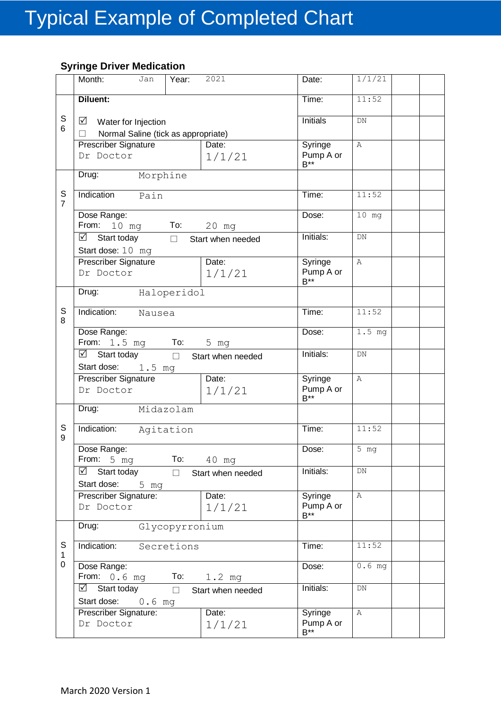#### **Syringe Driver Medication**

|                               | Month:<br>Jan<br>Year:                                                    | 2021              | Date:                            | 1/1/21            |
|-------------------------------|---------------------------------------------------------------------------|-------------------|----------------------------------|-------------------|
|                               | Diluent:                                                                  |                   | Time:                            | 11:52             |
| $\mathsf S$<br>6              | ⊻<br>Water for Injection<br>Normal Saline (tick as appropriate)<br>$\Box$ |                   | <b>Initials</b>                  | DN                |
|                               | <b>Prescriber Signature</b><br>Dr Doctor                                  | Date:<br>1/1/21   | Syringe<br>Pump A or<br>$B***$   | Α                 |
|                               | Drug:<br>Morphine                                                         |                   |                                  |                   |
| $\mathsf S$<br>$\overline{7}$ | Indication<br>Pain                                                        |                   | Time:                            | 11:52             |
|                               | Dose Range:<br>From: 10 mg<br>To: To                                      | 20 mg             | Dose:                            | $10$ mg           |
|                               | $\boxtimes$ Start today<br>$\Box$<br>Start dose: 10 mg                    | Start when needed | Initials:                        | DN                |
|                               | <b>Prescriber Signature</b><br>Dr Doctor                                  | Date:<br>1/1/21   | Syringe<br>Pump A or<br>$B^{**}$ | $\mathbb{A}$      |
|                               | Haloperidol<br>Drug:                                                      |                   |                                  |                   |
| $\mathbb S$<br>8              | Indication:<br>Nausea                                                     |                   | Time:                            | 11:52             |
|                               | Dose Range:<br>From: 1.5 mg<br>To:                                        | 5 mg              | Dose:                            | $1.5$ mg          |
|                               | $\overline{\boxtimes}$ Start today $\Box$<br>Start dose:<br>1.5 mg        | Start when needed | Initials:                        | DN                |
|                               | Prescriber Signature<br>Dr Doctor                                         | Date:<br>1/1/21   | Syringe<br>Pump A or<br>$B^{**}$ | $\mathbb{A}$      |
|                               | Midazolam<br>Drug:                                                        |                   |                                  |                   |
| S<br>9                        | Indication:<br>Agitation                                                  |                   | Time:                            | 11:52             |
|                               | Dose Range:<br>From: $5 \text{ mg}$<br>To:                                | 40 mg             | Dose:                            | $\overline{5}$ mg |
|                               | ☑<br>Start today<br>$\Box$<br>Start dose:<br>5 mg                         | Start when needed | Initials:                        | DN                |
|                               | Prescriber Signature:<br>Dr Doctor                                        | Date:<br>1/1/21   | Syringe<br>Pump A or<br>$B^{**}$ | $\mathbb{A}$      |
|                               | Glycopyrronium<br>Drug:                                                   |                   |                                  |                   |
| S<br>$\mathbf 1$              | Indication:<br>Secretions                                                 |                   | Time:                            | 11:52             |
| 0                             | Dose Range:<br>From: $0.6$ mg<br>To:                                      | $1.2$ mg          | Dose:                            | $0.6$ mg          |
|                               | $\boxtimes$ Start today<br>$\Box$<br>Start dose: 0.6 mg                   | Start when needed | Initials:                        | ${\rm DN}$        |
|                               | Prescriber Signature:<br>Dr Doctor                                        | Date:<br>1/1/21   | Syringe<br>Pump A or<br>$B^{**}$ | Α                 |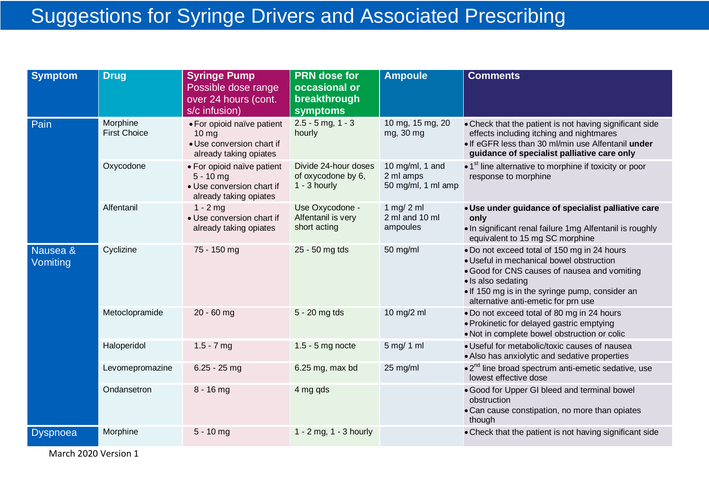## Suggestions for Syringe Drivers and Associated Prescribing

| <b>Symptom</b>       | <b>Drug</b>                     | <b>Syringe Pump</b><br>Possible dose range<br>over 24 hours (cont.<br>s/c infusion)                   | <b>PRN</b> dose for<br>occasional or<br>breakthrough<br>symptoms | <b>Ampoule</b>                                     | <b>Comments</b>                                                                                                                                                                                                                                         |
|----------------------|---------------------------------|-------------------------------------------------------------------------------------------------------|------------------------------------------------------------------|----------------------------------------------------|---------------------------------------------------------------------------------------------------------------------------------------------------------------------------------------------------------------------------------------------------------|
| Pain                 | Morphine<br><b>First Choice</b> | • For opioid naïve patient<br>10 <sub>mg</sub><br>• Use conversion chart if<br>already taking opiates | $2.5 - 5$ mg, 1 - 3<br>hourly                                    | 10 mg, 15 mg, 20<br>mg, 30 mg                      | • Check that the patient is not having significant side<br>effects including itching and nightmares<br>. If eGFR less than 30 ml/min use Alfentanil under<br>guidance of specialist palliative care only                                                |
|                      | Oxycodone                       | • For opioid naïve patient<br>$5 - 10$ mg<br>• Use conversion chart if<br>already taking opiates      | Divide 24-hour doses<br>of oxycodone by 6,<br>$1 - 3$ hourly     | 10 mg/ml, 1 and<br>2 ml amps<br>50 mg/ml, 1 ml amp | • 1 <sup>st</sup> line alternative to morphine if toxicity or poor<br>response to morphine                                                                                                                                                              |
|                      | Alfentanil                      | $1 - 2$ mg<br>• Use conversion chart if<br>already taking opiates                                     | Use Oxycodone -<br>Alfentanil is very<br>short acting            | 1 mg/ 2 ml<br>2 ml and 10 ml<br>ampoules           | · Use under guidance of specialist palliative care<br>only<br>. In significant renal failure 1mg Alfentanil is roughly<br>equivalent to 15 mg SC morphine                                                                                               |
| Nausea &<br>Vomiting | Cyclizine                       | 75 - 150 mg                                                                                           | 25 - 50 mg tds                                                   | 50 mg/ml                                           | . Do not exceed total of 150 mg in 24 hours<br>· Useful in mechanical bowel obstruction<br>. Good for CNS causes of nausea and vomiting<br>· Is also sedating<br>. If 150 mg is in the syringe pump, consider an<br>alternative anti-emetic for prn use |
|                      | Metoclopramide                  | $20 - 60$ mg                                                                                          | 5 - 20 mg tds                                                    | 10 mg/2 ml                                         | . Do not exceed total of 80 mg in 24 hours<br>• Prokinetic for delayed gastric emptying<br>. Not in complete bowel obstruction or colic                                                                                                                 |
|                      | Haloperidol                     | $1.5 - 7$ mg                                                                                          | $1.5 - 5$ mg nocte                                               | 5 mg/ 1 ml                                         | · Useful for metabolic/toxic causes of nausea<br>• Also has anxiolytic and sedative properties                                                                                                                                                          |
|                      | Levomepromazine                 | $6.25 - 25$ mg                                                                                        | 6.25 mg, max bd                                                  | 25 mg/ml                                           | $\bullet$ 2 <sup>nd</sup> line broad spectrum anti-emetic sedative, use<br>lowest effective dose                                                                                                                                                        |
|                      | Ondansetron                     | $8 - 16$ mg                                                                                           | 4 mg qds                                                         |                                                    | . Good for Upper GI bleed and terminal bowel<br>obstruction<br>• Can cause constipation, no more than opiates<br>though                                                                                                                                 |
| <b>Dyspnoea</b>      | Morphine                        | $5 - 10$ mg                                                                                           | 1 - 2 mg, 1 - 3 hourly                                           |                                                    | • Check that the patient is not having significant side                                                                                                                                                                                                 |

March 2020 Version 1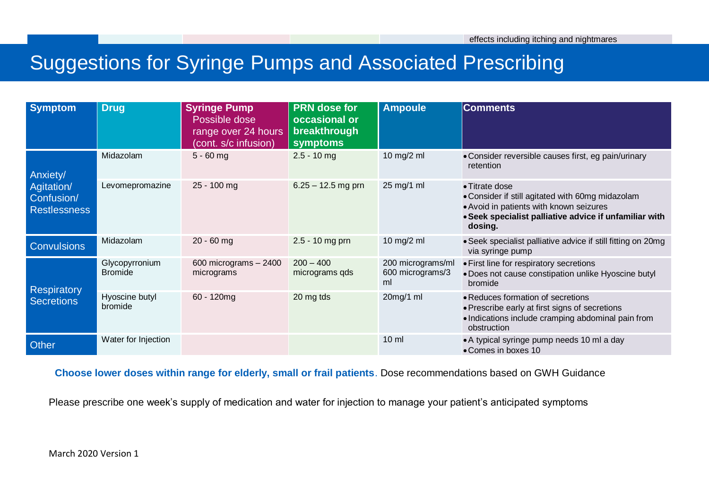#### $\alpha$  -  $\alpha$  -  $\alpha$  -  $\alpha$  -  $\alpha$  -  $\alpha$  -  $\alpha$  -  $\alpha$  -  $\alpha$  -  $\alpha$  -  $\alpha$  -  $\alpha$  -  $\alpha$  -  $\alpha$  -  $\alpha$  -  $\alpha$  -  $\alpha$  -  $\alpha$  -  $\alpha$  -  $\alpha$  -  $\alpha$  -  $\alpha$  -  $\alpha$  -  $\alpha$  -  $\alpha$  -  $\alpha$  -  $\alpha$  -  $\alpha$  -  $\alpha$  -  $\alpha$  -  $\alpha$  -  $\alpha$ Suggestions for Syringe Pumps and Associated Prescribing

| <b>Symptom</b>                                  | <b>Drug</b>                      | <b>Syringe Pump</b><br>Possible dose<br>range over 24 hours<br>(cont. s/c infusion) | <b>PRN</b> dose for<br>occasional or<br>breakthrough<br>symptoms | <b>Ampoule</b>                              | <b>Comments</b>                                                                                                                                                                    |
|-------------------------------------------------|----------------------------------|-------------------------------------------------------------------------------------|------------------------------------------------------------------|---------------------------------------------|------------------------------------------------------------------------------------------------------------------------------------------------------------------------------------|
| Anxiety/                                        | Midazolam                        | $5 - 60$ mg                                                                         | $2.5 - 10$ mg                                                    | 10 mg/2 ml                                  | • Consider reversible causes first, eg pain/urinary<br>retention                                                                                                                   |
| Agitation/<br>Confusion/<br><b>Restlessness</b> | Levomepromazine                  | 25 - 100 mg                                                                         | $6.25 - 12.5$ mg prn                                             | 25 mg/1 ml                                  | • Titrate dose<br>• Consider if still agitated with 60mg midazolam<br>• Avoid in patients with known seizures<br>• Seek specialist palliative advice if unfamiliar with<br>dosing. |
| <b>Convulsions</b>                              | Midazolam                        | $20 - 60$ mg                                                                        | $2.5 - 10$ mg prn                                                | 10 mg/2 ml                                  | • Seek specialist palliative advice if still fitting on 20mg<br>via syringe pump                                                                                                   |
| <b>Respiratory</b><br><b>Secretions</b>         | Glycopyrronium<br><b>Bromide</b> | 600 micrograms - 2400<br>micrograms                                                 | $200 - 400$<br>micrograms qds                                    | 200 micrograms/ml<br>600 micrograms/3<br>ml | • First line for respiratory secretions<br>. Does not cause constipation unlike Hyoscine butyl<br>bromide                                                                          |
|                                                 | Hyoscine butyl<br>bromide        | $60 - 120$ mg                                                                       | 20 mg tds                                                        | 20mg/1 ml                                   | • Reduces formation of secretions<br>• Prescribe early at first signs of secretions<br>. Indications include cramping abdominal pain from<br>obstruction                           |
| <b>Other</b>                                    | Water for Injection              |                                                                                     |                                                                  | $10 \mathrm{m}$                             | • A typical syringe pump needs 10 ml a day<br>• Comes in boxes 10                                                                                                                  |

**Choose lower doses within range for elderly, small or frail patients**. Dose recommendations based on GWH Guidance

Please prescribe one week's supply of medication and water for injection to manage your patient's anticipated symptoms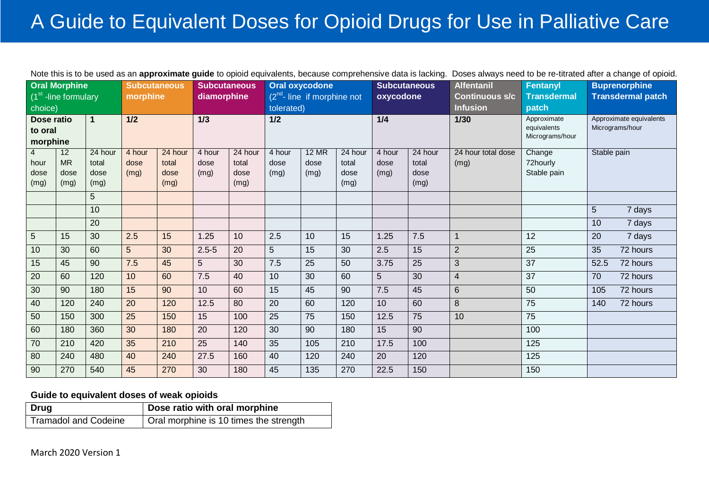## A Guide to Equivalent Doses for Opioid Drugs for Use in Palliative Care

|                |                        |                  |                     |                  |                     |                  |                |                                |                  |                     | Note this is to be used as an <b>approximate guide</b> to opioid equivalents, because comprehensive data is lacking. | Doses always need to be re-titrated after a change of opioid. |                            |                                            |                          |  |
|----------------|------------------------|------------------|---------------------|------------------|---------------------|------------------|----------------|--------------------------------|------------------|---------------------|----------------------------------------------------------------------------------------------------------------------|---------------------------------------------------------------|----------------------------|--------------------------------------------|--------------------------|--|
|                | <b>Oral Morphine</b>   |                  | <b>Subcutaneous</b> |                  | <b>Subcutaneous</b> |                  |                | Oral oxycodone                 |                  | <b>Subcutaneous</b> |                                                                                                                      | <b>Alfentanil</b>                                             | Fentanyl                   |                                            | <b>Buprenorphine</b>     |  |
|                | $(1st$ -line formulary |                  | morphine            |                  | diamorphine         |                  |                | $(2nd - line)$ if morphine not |                  | oxycodone           |                                                                                                                      | <b>Continuous s/c</b>                                         | <b>Transdermal</b>         |                                            | <b>Transdermal patch</b> |  |
| choice)        |                        |                  |                     |                  |                     |                  | tolerated)     |                                |                  |                     |                                                                                                                      | <b>Infusion</b>                                               | patch                      |                                            |                          |  |
| Dose ratio     |                        | $\mathbf{1}$     | 1/2                 |                  | 1/3                 |                  | 1/2            |                                |                  | 1/4                 |                                                                                                                      | $1/30$                                                        | Approximate<br>equivalents | Approximate equivalents<br>Micrograms/hour |                          |  |
| to oral        |                        |                  |                     |                  |                     |                  |                |                                |                  |                     |                                                                                                                      |                                                               | Micrograms/hour            |                                            |                          |  |
| morphine       |                        |                  |                     |                  |                     |                  |                |                                |                  |                     |                                                                                                                      |                                                               |                            |                                            |                          |  |
| $\overline{4}$ | 12<br><b>MR</b>        | 24 hour<br>total | 4 hour<br>dose      | 24 hour<br>total | 4 hour<br>dose      | 24 hour<br>total | 4 hour<br>dose | <b>12 MR</b><br>dose           | 24 hour<br>total | 4 hour<br>dose      | 24 hour<br>total                                                                                                     | 24 hour total dose                                            | Change<br>72hourly         | Stable pain                                |                          |  |
| hour<br>dose   | dose                   | dose             | (mg)                | dose             | (mg)                | dose             | (mg)           | (mg)                           | dose             | (mg)                | dose                                                                                                                 | (mg)                                                          | Stable pain                |                                            |                          |  |
| (mg)           | (mq)                   | (mg)             |                     | (mg)             |                     | (mg)             |                |                                | (mg)             |                     | (mg)                                                                                                                 |                                                               |                            |                                            |                          |  |
|                |                        | 5                |                     |                  |                     |                  |                |                                |                  |                     |                                                                                                                      |                                                               |                            |                                            |                          |  |
|                |                        | 10               |                     |                  |                     |                  |                |                                |                  |                     |                                                                                                                      |                                                               |                            | 5                                          | 7 days                   |  |
|                |                        |                  |                     |                  |                     |                  |                |                                |                  |                     |                                                                                                                      |                                                               |                            |                                            |                          |  |
|                |                        | 20               |                     |                  |                     |                  |                |                                |                  |                     |                                                                                                                      |                                                               |                            | 10                                         | 7 days                   |  |
| $\overline{5}$ | 15                     | 30               | 2.5                 | 15               | 1.25                | 10               | 2.5            | 10                             | 15               | 1.25                | 7.5                                                                                                                  | 1                                                             | 12                         | 20                                         | 7 days                   |  |
| 10             | 30                     | 60               | 5                   | 30               | $2.5 - 5$           | 20               | 5              | 15                             | 30               | 2.5                 | 15                                                                                                                   | $\overline{2}$                                                | 25                         | 35                                         | 72 hours                 |  |
| 15             | 45                     | 90               | 7.5                 | 45               | 5                   | 30               | 7.5            | 25                             | 50               | 3.75                | 25                                                                                                                   | 3                                                             | $\overline{37}$            | 52.5                                       | 72 hours                 |  |
| 20             | 60                     | 120              | 10                  | 60               | 7.5                 | 40               | 10             | 30                             | 60               | 5                   | 30                                                                                                                   | $\overline{4}$                                                | 37                         | 70                                         | 72 hours                 |  |
| 30             | 90                     | 180              | 15                  | 90               | 10                  | 60               | 15             | 45                             | 90               | 7.5                 | 45                                                                                                                   | 6                                                             | 50                         | 105                                        | 72 hours                 |  |
| 40             | 120                    | 240              | 20                  | 120              | 12.5                | 80               | 20             | 60                             | 120              | 10                  | 60                                                                                                                   | 8                                                             | 75                         | 140                                        | 72 hours                 |  |
| 50             | 150                    | 300              | $\overline{25}$     | 150              | 15                  | 100              | 25             | 75                             | 150              | 12.5                | 75                                                                                                                   | 10                                                            | 75                         |                                            |                          |  |
| 60             | 180                    | 360              | 30                  | 180              | 20                  | 120              | 30             | 90                             | 180              | 15                  | 90                                                                                                                   |                                                               | 100                        |                                            |                          |  |
| 70             | 210                    | 420              | 35                  | 210              | 25                  | 140              | 35             | 105                            | 210              | 17.5                | 100                                                                                                                  |                                                               | 125                        |                                            |                          |  |
| 80             | 240                    | 480              | 40                  | 240              | 27.5                | 160              | 40             | 120                            | 240              | 20                  | 120                                                                                                                  |                                                               | 125                        |                                            |                          |  |
| 90             | 270                    | 540              | 45                  | 270              | 30                  | 180              | 45             | 135                            | 270              | 22.5                | 150                                                                                                                  |                                                               | 150                        |                                            |                          |  |

#### Note this is to be used as an **approximate guide** to opioid equivalents, because comprehensive data is lacking. Doses always need to be re-titrated after a change of opioid.

#### **Guide to equivalent doses of weak opioids**

| Drug                 | Dose ratio with oral morphine          |
|----------------------|----------------------------------------|
| Tramadol and Codeine | Oral morphine is 10 times the strength |